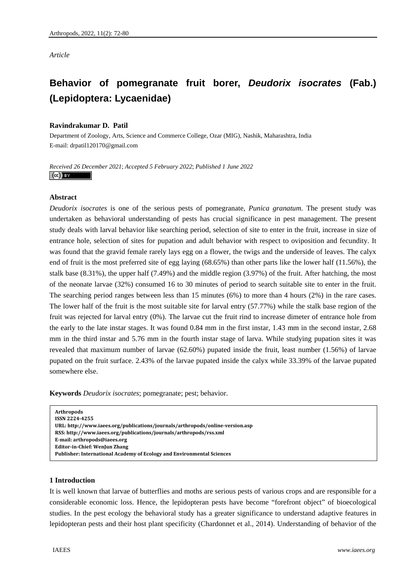*Article* 

# **Behavior of pomegranate fruit borer,** *Deudorix isocrates* **(Fab.) (Lepidoptera: Lycaenidae)**

# **Ravindrakumar D. Patil**

Department of Zoology, Arts, Science and Commerce College, Ozar (MIG), Nashik, Maharashtra, India E-mail: drpatil120170@gmail.com

*Received 26 December 2021*; *Accepted 5 February 2022*; *Published 1 June 2022*   $\left(\mathrm{cc}\right)$  BY

# **Abstract**

*Deudorix isocrates* is one of the serious pests of pomegranate, *Punica granatum*. The present study was undertaken as behavioral understanding of pests has crucial significance in pest management. The present study deals with larval behavior like searching period, selection of site to enter in the fruit, increase in size of entrance hole, selection of sites for pupation and adult behavior with respect to oviposition and fecundity. It was found that the gravid female rarely lays egg on a flower, the twigs and the underside of leaves. The calyx end of fruit is the most preferred site of egg laying (68.65%) than other parts like the lower half (11.56%), the stalk base (8.31%), the upper half (7.49%) and the middle region (3.97%) of the fruit. After hatching, the most of the neonate larvae (32%) consumed 16 to 30 minutes of period to search suitable site to enter in the fruit. The searching period ranges between less than 15 minutes (6%) to more than 4 hours (2%) in the rare cases. The lower half of the fruit is the most suitable site for larval entry (57.77%) while the stalk base region of the fruit was rejected for larval entry (0%). The larvae cut the fruit rind to increase dimeter of entrance hole from the early to the late instar stages. It was found 0.84 mm in the first instar, 1.43 mm in the second instar, 2.68 mm in the third instar and 5.76 mm in the fourth instar stage of larva. While studying pupation sites it was revealed that maximum number of larvae (62.60%) pupated inside the fruit, least number (1.56%) of larvae pupated on the fruit surface. 2.43% of the larvae pupated inside the calyx while 33.39% of the larvae pupated somewhere else.

**Keywords** *Deudorix isocrates*; pomegranate; pest; behavior.

```
Arthropods   
ISSN 22244255   
URL: http://www.iaees.org/publications/journals/arthropods/onlineversion.asp
RSS: http://www.iaees.org/publications/journals/arthropods/rss.xml
Email: arthropods@iaees.org
EditorinChief: WenJun Zhang
Publisher: International Academy of Ecology and Environmental Sciences
```
## **1 Introduction**

It is well known that larvae of butterflies and moths are serious pests of various crops and are responsible for a considerable economic loss. Hence, the lepidopteran pests have become "forefront object" of bioecological studies. In the pest ecology the behavioral study has a greater significance to understand adaptive features in lepidopteran pests and their host plant specificity (Chardonnet et al., 2014). Understanding of behavior of the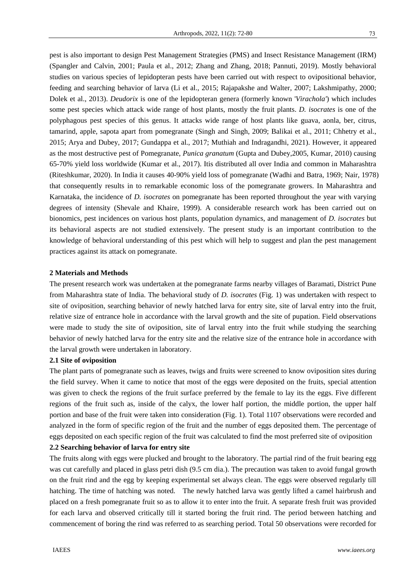pest is also important to design Pest Management Strategies (PMS) and Insect Resistance Management (IRM) (Spangler and Calvin, 2001; Paula et al., 2012; Zhang and Zhang, 2018; Pannuti, 2019). Mostly behavioral studies on various species of lepidopteran pests have been carried out with respect to ovipositional behavior, feeding and searching behavior of larva (Li et al., 2015; Rajapakshe and Walter, 2007; Lakshmipathy, 2000; Dolek et al., 2013). *Deudorix* is one of the lepidopteran genera (formerly known '*Virachola'*) which includes some pest species which attack wide range of host plants, mostly the fruit plants. *D. isocrates* is one of the polyphagous pest species of this genus. It attacks wide range of host plants like guava, aonla, ber, citrus, tamarind, apple, sapota apart from pomegranate (Singh and Singh, 2009; Balikai et al., 2011; Chhetry et al., 2015; Arya and Dubey, 2017; Gundappa et al., 2017; Muthiah and Indragandhi, 2021). However, it appeared as the most destructive pest of Pomegranate, *Punica granatum* (Gupta and Dubey,2005, Kumar, 2010) causing 65-70% yield loss worldwide (Kumar et al., 2017). Itis distributed all over India and common in Maharashtra (Riteshkumar, 2020). In India it causes 40-90% yield loss of pomegranate (Wadhi and Batra, 1969; Nair, 1978) that consequently results in to remarkable economic loss of the pomegranate growers. In Maharashtra and Karnataka, the incidence of *D. isocrates* on pomegranate has been reported throughout the year with varying degrees of intensity (Shevale and Khaire, 1999). A considerable research work has been carried out on bionomics, pest incidences on various host plants, population dynamics, and management of *D. isocrates* but its behavioral aspects are not studied extensively. The present study is an important contribution to the knowledge of behavioral understanding of this pest which will help to suggest and plan the pest management practices against its attack on pomegranate.

# **2 Materials and Methods**

The present research work was undertaken at the pomegranate farms nearby villages of Baramati, District Pune from Maharashtra state of India. The behavioral study of *D. isocrates* (Fig. 1) was undertaken with respect to site of oviposition, searching behavior of newly hatched larva for entry site, site of larval entry into the fruit, relative size of entrance hole in accordance with the larval growth and the site of pupation. Field observations were made to study the site of oviposition, site of larval entry into the fruit while studying the searching behavior of newly hatched larva for the entry site and the relative size of the entrance hole in accordance with the larval growth were undertaken in laboratory.

#### **2.1 Site of oviposition**

The plant parts of pomegranate such as leaves, twigs and fruits were screened to know oviposition sites during the field survey. When it came to notice that most of the eggs were deposited on the fruits, special attention was given to check the regions of the fruit surface preferred by the female to lay its the eggs. Five different regions of the fruit such as, inside of the calyx, the lower half portion, the middle portion, the upper half portion and base of the fruit were taken into consideration (Fig. 1). Total 1107 observations were recorded and analyzed in the form of specific region of the fruit and the number of eggs deposited them. The percentage of eggs deposited on each specific region of the fruit was calculated to find the most preferred site of oviposition

# **2.2 Searching behavior of larva for entry site**

The fruits along with eggs were plucked and brought to the laboratory. The partial rind of the fruit bearing egg was cut carefully and placed in glass petri dish (9.5 cm dia.). The precaution was taken to avoid fungal growth on the fruit rind and the egg by keeping experimental set always clean. The eggs were observed regularly till hatching. The time of hatching was noted. The newly hatched larva was gently lifted a camel hairbrush and placed on a fresh pomegranate fruit so as to allow it to enter into the fruit. A separate fresh fruit was provided for each larva and observed critically till it started boring the fruit rind. The period between hatching and commencement of boring the rind was referred to as searching period. Total 50 observations were recorded for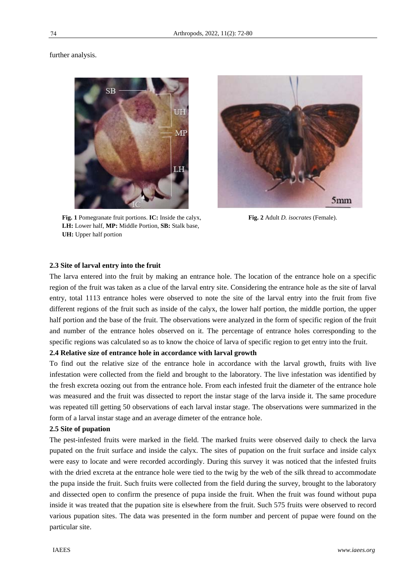further analysis.



**Fig. 1** Pomegranate fruit portions. **IC:** Inside the calyx, **Fig. 2** Adult *D. isocrates* (Female). **LH:** Lower half, **MP:** Middle Portion, **SB:** Stalk base, **UH:** Upper half portion



#### **2.3 Site of larval entry into the fruit**

The larva entered into the fruit by making an entrance hole. The location of the entrance hole on a specific region of the fruit was taken as a clue of the larval entry site. Considering the entrance hole as the site of larval entry, total 1113 entrance holes were observed to note the site of the larval entry into the fruit from five different regions of the fruit such as inside of the calyx, the lower half portion, the middle portion, the upper half portion and the base of the fruit. The observations were analyzed in the form of specific region of the fruit and number of the entrance holes observed on it. The percentage of entrance holes corresponding to the specific regions was calculated so as to know the choice of larva of specific region to get entry into the fruit.

## **2.4 Relative size of entrance hole in accordance with larval growth**

To find out the relative size of the entrance hole in accordance with the larval growth, fruits with live infestation were collected from the field and brought to the laboratory. The live infestation was identified by the fresh excreta oozing out from the entrance hole. From each infested fruit the diameter of the entrance hole was measured and the fruit was dissected to report the instar stage of the larva inside it. The same procedure was repeated till getting 50 observations of each larval instar stage. The observations were summarized in the form of a larval instar stage and an average dimeter of the entrance hole.

#### **2.5 Site of pupation**

The pest-infested fruits were marked in the field. The marked fruits were observed daily to check the larva pupated on the fruit surface and inside the calyx. The sites of pupation on the fruit surface and inside calyx were easy to locate and were recorded accordingly. During this survey it was noticed that the infested fruits with the dried excreta at the entrance hole were tied to the twig by the web of the silk thread to accommodate the pupa inside the fruit. Such fruits were collected from the field during the survey, brought to the laboratory and dissected open to confirm the presence of pupa inside the fruit. When the fruit was found without pupa inside it was treated that the pupation site is elsewhere from the fruit. Such 575 fruits were observed to record various pupation sites. The data was presented in the form number and percent of pupae were found on the particular site.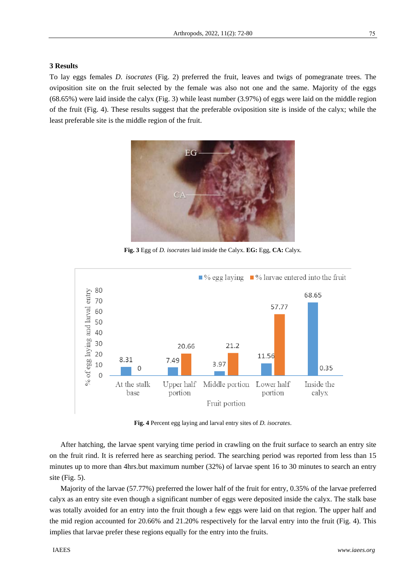#### **3 Results**

To lay eggs females *D. isocrates* (Fig. 2) preferred the fruit, leaves and twigs of pomegranate trees. The oviposition site on the fruit selected by the female was also not one and the same. Majority of the eggs (68.65%) were laid inside the calyx (Fig. 3) while least number (3.97%) of eggs were laid on the middle region of the fruit (Fig. 4). These results suggest that the preferable oviposition site is inside of the calyx; while the least preferable site is the middle region of the fruit.



**Fig. 3** Egg of *D. isocrates* laid inside the Calyx. **EG:** Egg, **CA:** Calyx.



**Fig. 4** Percent egg laying and larval entry sites of *D. isocrates*.

After hatching, the larvae spent varying time period in crawling on the fruit surface to search an entry site on the fruit rind. It is referred here as searching period. The searching period was reported from less than 15 minutes up to more than 4hrs.but maximum number (32%) of larvae spent 16 to 30 minutes to search an entry site (Fig. 5).

Majority of the larvae (57.77%) preferred the lower half of the fruit for entry, 0.35% of the larvae preferred calyx as an entry site even though a significant number of eggs were deposited inside the calyx. The stalk base was totally avoided for an entry into the fruit though a few eggs were laid on that region. The upper half and the mid region accounted for 20.66% and 21.20% respectively for the larval entry into the fruit (Fig. 4). This implies that larvae prefer these regions equally for the entry into the fruits.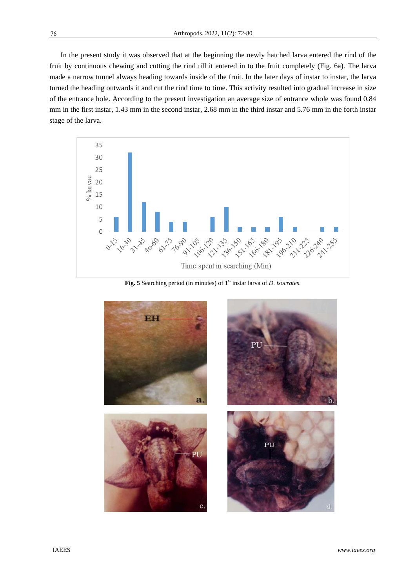In the present study it was observed that at the beginning the newly hatched larva entered the rind of the fruit by continuous chewing and cutting the rind till it entered in to the fruit completely (Fig. 6a). The larva made a narrow tunnel always heading towards inside of the fruit. In the later days of instar to instar, the larva turned the heading outwards it and cut the rind time to time. This activity resulted into gradual increase in size of the entrance hole. According to the present investigation an average size of entrance whole was found 0.84 mm in the first instar, 1.43 mm in the second instar, 2.68 mm in the third instar and 5.76 mm in the forth instar stage of the larva.



Fig. 5 Searching period (in minutes) of 1<sup>st</sup> instar larva of *D. isocrates*.

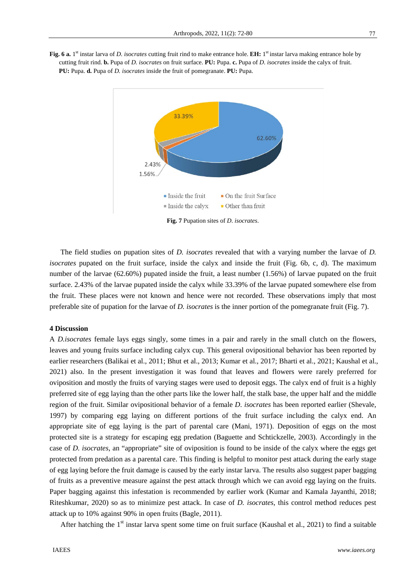



**Fig. 7** Pupation sites of *D*. *isocrates*.

The field studies on pupation sites of *D. isocrates* revealed that with a varying number the larvae of *D. isocrates* pupated on the fruit surface, inside the calyx and inside the fruit (Fig. 6b, c, d). The maximum number of the larvae (62.60%) pupated inside the fruit, a least number (1.56%) of larvae pupated on the fruit surface. 2.43% of the larvae pupated inside the calyx while 33.39% of the larvae pupated somewhere else from the fruit. These places were not known and hence were not recorded. These observations imply that most preferable site of pupation for the larvae of *D. isocrates* is the inner portion of the pomegranate fruit (Fig. 7).

## **4 Discussion**

A *D.isocrates* female lays eggs singly, some times in a pair and rarely in the small clutch on the flowers, leaves and young fruits surface including calyx cup. This general ovipositional behavior has been reported by earlier researchers (Balikai et al., 2011; Bhut et al., 2013; Kumar et al., 2017; Bharti et al., 2021; Kaushal et al., 2021) also. In the present investigation it was found that leaves and flowers were rarely preferred for oviposition and mostly the fruits of varying stages were used to deposit eggs. The calyx end of fruit is a highly preferred site of egg laying than the other parts like the lower half, the stalk base, the upper half and the middle region of the fruit. Similar ovipositional behavior of a female *D*. *isocrates* has been reported earlier (Shevale, 1997) by comparing egg laying on different portions of the fruit surface including the calyx end. An appropriate site of egg laying is the part of parental care (Mani, 1971). Deposition of eggs on the most protected site is a strategy for escaping egg predation (Baguette and Schtickzelle, 2003). Accordingly in the case of *D. isocrates*, an "appropriate" site of oviposition is found to be inside of the calyx where the eggs get protected from predation as a parental care. This finding is helpful to monitor pest attack during the early stage of egg laying before the fruit damage is caused by the early instar larva. The results also suggest paper bagging of fruits as a preventive measure against the pest attack through which we can avoid egg laying on the fruits. Paper bagging against this infestation is recommended by earlier work (Kumar and Kamala Jayanthi, 2018; Riteshkumar, 2020) so as to minimize pest attack. In case of *D. isocrates*, this control method reduces pest attack up to 10% against 90% in open fruits (Bagle, 2011).

After hatching the  $1<sup>st</sup>$  instar larva spent some time on fruit surface (Kaushal et al., 2021) to find a suitable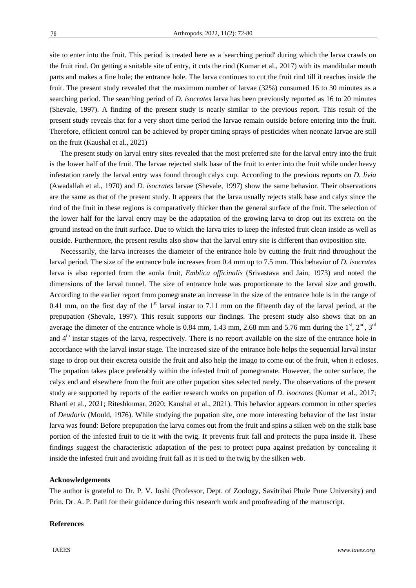site to enter into the fruit. This period is treated here as a 'searching period' during which the larva crawls on the fruit rind. On getting a suitable site of entry, it cuts the rind (Kumar et al., 2017) with its mandibular mouth parts and makes a fine hole; the entrance hole. The larva continues to cut the fruit rind till it reaches inside the fruit. The present study revealed that the maximum number of larvae (32%) consumed 16 to 30 minutes as a searching period. The searching period of *D. isocrates* larva has been previously reported as 16 to 20 minutes (Shevale, 1997). A finding of the present study is nearly similar to the previous report. This result of the present study reveals that for a very short time period the larvae remain outside before entering into the fruit.

on the fruit (Kaushal et al., 2021) The present study on larval entry sites revealed that the most preferred site for the larval entry into the fruit is the lower half of the fruit. The larvae rejected stalk base of the fruit to enter into the fruit while under heavy infestation rarely the larval entry was found through calyx cup. According to the previous reports on *D. livia*  (Awadallah et al., 1970) and *D. isocrates* larvae (Shevale, 1997) show the same behavior. Their observations are the same as that of the present study. It appears that the larva usually rejects stalk base and calyx since the rind of the fruit in these regions is comparatively thicker than the general surface of the fruit. The selection of the lower half for the larval entry may be the adaptation of the growing larva to drop out its excreta on the ground instead on the fruit surface. Due to which the larva tries to keep the infested fruit clean inside as well as

outside. Furthermore, the present results also show that the larval entry site is different than oviposition site.

Therefore, efficient control can be achieved by proper timing sprays of pesticides when neonate larvae are still

Necessarily, the larva increases the diameter of the entrance hole by cutting the fruit rind throughout the larval period. The size of the entrance hole increases from 0.4 mm up to 7.5 mm. This behavior of *D. isocrates* larva is also reported from the aonla fruit, *Emblica officinalis* (Srivastava and Jain, 1973) and noted the dimensions of the larval tunnel. The size of entrance hole was proportionate to the larval size and growth. According to the earlier report from pomegranate an increase in the size of the entrance hole is in the range of 0.41 mm, on the first day of the  $1<sup>st</sup>$  larval instar to 7.11 mm on the fifteenth day of the larval period, at the prepupation (Shevale, 1997). This result supports our findings. The present study also shows that on an average the dimeter of the entrance whole is 0.84 mm, 1.43 mm, 2.68 mm and 5.76 mm during the  $1^{st}$ ,  $2^{nd}$ ,  $3^{rd}$ and  $4<sup>th</sup>$  instar stages of the larva, respectively. There is no report available on the size of the entrance hole in accordance with the larval instar stage. The increased size of the entrance hole helps the sequential larval instar stage to drop out their excreta outside the fruit and also help the imago to come out of the fruit, when it ecloses. The pupation takes place preferably within the infested fruit of pomegranate. However, the outer surface, the calyx end and elsewhere from the fruit are other pupation sites selected rarely. The observations of the present study are supported by reports of the earlier research works on pupation of *D. isocrates* (Kumar et al., 2017; Bharti et al., 2021; Riteshkumar, 2020; Kaushal et al., 2021). This behavior appears common in other species of *Deudorix* (Mould, 1976). While studying the pupation site, one more interesting behavior of the last instar larva was found: Before prepupation the larva comes out from the fruit and spins a silken web on the stalk base portion of the infested fruit to tie it with the twig. It prevents fruit fall and protects the pupa inside it. These findings suggest the characteristic adaptation of the pest to protect pupa against predation by concealing it inside the infested fruit and avoiding fruit fall as it is tied to the twig by the silken web.

## **Acknowledgements**

The author is grateful to Dr. P. V. Joshi (Professor, Dept. of Zoology, Savitribai Phule Pune University) and Prin. Dr. A. P. Patil for their guidance during this research work and proofreading of the manuscript.

#### **References**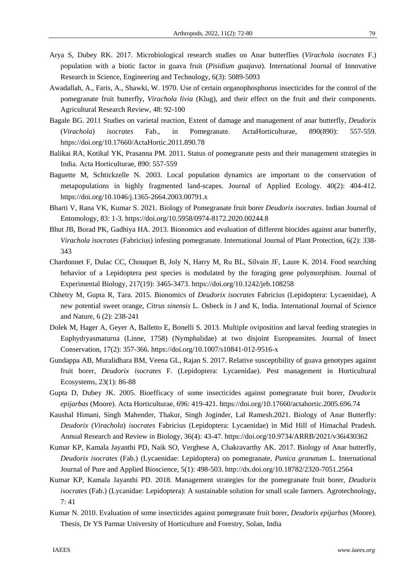- Arya S, Dubey RK. 2017. Microbiological research studies on Anar butterflies (*Virachola isocrates* F.) population with a biotic factor in guava fruit (*Pisidium guajava*). International Journal of Innovative Research in Science, Engineering and Technology, 6(3): 5089-5093
- Awadallah, A., Faris, A., Shawki, W. 1970. Use of certain organophosphorus insecticides for the control of the pomegranate fruit butterfly, *Virachola livia* (Klug), and their effect on the fruit and their components. Agricultural Research Review, 48: 92-100
- Bagale BG. 2011 Studies on varietal reaction, Extent of damage and management of anar butterfly, *Deudorix*  (*Virachola*) *isocrates* Fab., in Pomegranate. ActaHorticulturae, 890(890): 557-559. https://doi.org/10.17660/ActaHortic.2011.890.78
- Balikai RA, Kotikal YK, Prasanna PM. 2011. Status of pomegranate pests and their management strategies in India. Acta Horticulturae, 890: 557-559
- Baguette M, Schtickzelle N. 2003. Local population dynamics are important to the conservation of metapopulations in highly fragmented land-scapes. Journal of Applied Ecology. 40(2): 404-412. https://doi.org/10.1046/j.1365-2664.2003.00791.x
- Bharti V, Rana VK, Kumar S. 2021. Biology of Pomegranate fruit borer *Deudorix isocrates*. Indian Journal of Entomology, 83: 1-3. https://doi.org/10.5958/0974-8172.2020.00244.8
- Bhut JB, Borad PK, Gadhiya HA. 2013. Bionomics and evaluation of different biocides against anar butterfly, *Virachola isocrates* (Fabricius) infesting pomegranate. International Journal of Plant Protection, 6(2): 338- 343
- Chardonnet F, Dulac CC, Chouquet B, Joly N, Harry M, Ru BL, Silvain JF, Laure K. 2014. Food searching behavior of a Lepidoptera pest species is modulated by the foraging gene polymorphism. Journal of Experimental Biology, 217(19): 3465-3473. https://doi.org/10.1242/jeb.108258
- Chhetry M, Gupta R, Tara. 2015. Bionomics of *Deudorix isocrates* Fabricius (Lepidoptera: Lycaenidae), A new potential sweet orange, *Citrus sinensis* L. Osbeck in J and K, India. International Journal of Science and Nature, 6 (2): 238-241
- Dolek M, Hager A, Geyer A, Balletto E, Bonelli S. 2013. Multiple oviposition and larval feeding strategies in Euphydryasmaturna (Linne, 1758) (Nymphalidae) at two disjoint Europeansites. Journal of Insect Conservation, 17(2): 357-366. https://doi.org/10.1007/s10841-012-9516-x
- Gundappa AB, Muralidhara BM, Veena GL, Rajan S. 2017. Relative susceptibility of guava genotypes against fruit borer, *Deudorix isocrates* F. (Lepidoptera: Lycaenidae). Pest management in Horticultural Ecosystems, 23(1): 86-88
- Gupta D, Dubey JK. 2005. Bioefficacy of some insecticides against pomegranate fruit borer, *Deudorix epijarbas* (Moore). Acta Horticulturae, 696: 419-421. https://doi.org/10.17660/actahortic.2005.696.74
- Kaushal Himani, Singh Mahender, Thakur, Singh Joginder, Lal Ramesh.2021. Biology of Anar Butterfly: *Deudorix* (*Virachola*) *isocrates* Fabricius (Lepidoptera: Lycaenidae) in Mid Hill of Himachal Pradesh. Annual Research and Review in Biology, 36(4): 43-47. https://doi.org/10.9734/ARRB/2021/v36i430362
- Kumar KP, Kamala Jayanthi PD, Naik SO, Verghese A, Chakravarthy AK. 2017. Biology of Anar butterfly, *Deudorix isocrates* (Fab.) (Lycaenidae: Lepidoptera) on pomegranate, *Punica granatum* L. International Journal of Pure and Applied Bioscience, 5(1): 498-503. http://dx.doi.org/10.18782/2320-7051.2564
- Kumar KP, Kamala Jayanthi PD. 2018. Management strategies for the pomegranate fruit borer, *Deudorix isocrates* (Fab.) (Lycanidae: Lepidoptera): A sustainable solution for small scale farmers. Agrotechnology, 7: 41
- Kumar N. 2010. Evaluation of some insecticides against pomegranate fruit borer, *Deudorix epijarbas* (Moore). Thesis, Dr YS Parmar University of Horticulture and Forestry, Solan, India